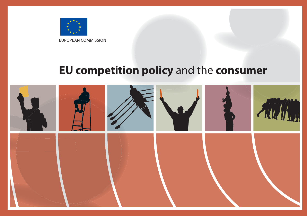

EUROPEAN COMMISSION

# **EU competition policy** and the **consumer**

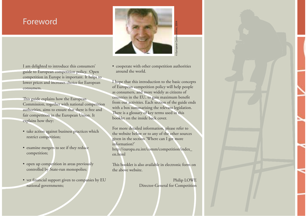# Foreword

I am delighted to introduce this consumers' guide to European competition policy. Open competition in Europe is important. It helps to lower prices and increases choice for European consumers.

This guide explains how the European Commission, together with national competition authorities, aims to ensure that there is free and fair competition in the European Union. It explains how they:

- take action against business practices which restrict competition;
- examine mergers to see if they reduce competition;
- open up competition in areas previously controlled by State-run monopolies;
- vet financial support given to companies by EU national governments;



• cooperate with other competition authorities around the world.

I hope that this introduction to the basic concepts of European competition policy will help people as consumers, and more widely as citizens of countries in the EU, to gain maximum benefit from our activities. Each section of the guide ends with a box summarising the relevant legislation. There is a glossary of key terms used in this booklet on the inside back cover. Examples the competition authorities<br>order to the basic concepts<br>and the competition policy will help people<br>introduction to the basic concepts<br>nepetition policy will help people<br>id more widely as citizens of<br>EU, to gain m

For more detailed information, please refer to the website below or to any of the other sources given in the section 'Where can I get more information?' http://europa.eu.int/comm/competition/index\_ en.html

This booklet is also available in electronic form on the above website.

Philip LOWE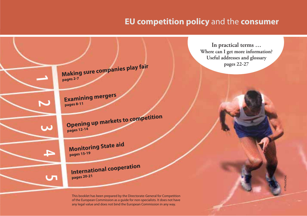# **EU competition policy** and the **consumer**



This booklet has been prepared by the Directorate-General for Competition of the European Commission as a guide for non-specialists. It does not have any legal value and does not bind the European Commission in any way.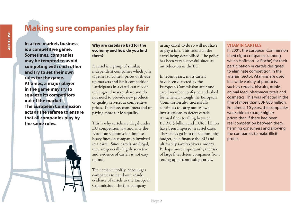# **Making sure companies play fair**

ANTITRUST

**In a free market, business is a competitive game. Sometimes, companies may be tempted to avoid competing with each other and try to set their own rules for the game. At times, a major player in the game may try to squeeze its competitors out of the market. The European Commission acts as the referee to ensure that all companies play by the same rules.**

# **Why are cartels so bad for the economy and how do you find them?**

A cartel is a group of similar, independent companies which join together to control prices or divide up markets and limit competition. Participants in a cartel can rely on their agreed market share and do not need to provide new products or quality services at competitive prices. Therefore, consumers end up paying more for less quality.

This is why cartels are illegal under EU competition law and why the European Commission imposes heavy fines on companies involved in a cartel. Since cartels are illegal, they are generally highly secretive and evidence of cartels is not easy to find.

The 'leniency policy' encourages companies to hand over inside evidence of cartels to the European Commission. The first company

in any cartel to do so will not have to pay a fine. This results in the cartel being destabilised. The policy has been very successful since its introduction in the EU.

In recent years, most cartels have been detected by the European Commission after one cartel member confessed and asked for leniency, though the European Commission also successfully continues to carry out its own investigations to detect cartels. Annual fines totalling between EUR 0.5 billion and EUR 1 billion have been imposed in cartel cases. These fines go into the Community budget, help finance the EU and ultimately save taxpayers' money. Perhaps more importantly, the risk of large fines deters companies from setting up or continuing cartels.

# **VITAMIN CARTELS**

In 2001, the European Commission fined eight companies (among which Hoffman-La Roche) for their participation in cartels designed to eliminate competition in the vitamin sector. Vitamins are used in a wide variety of products, such as cereals, biscuits, drinks, animal feed, pharmaceuticals and cosmetics. This was reflected in the fine of more than FUR 800 million For almost 10 years, the companies were able to charge higher prices than if there had been real competition between them, harming consumers and allowing the companies to make illicit profits.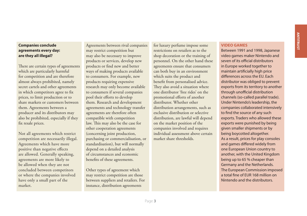# **Companies conclude agreements every day: are they all illegal?**

There are certain types of agreements which are particularly harmful for competition and are therefore almost always prohibited, namely secret cartels and other agreements in which competitors agree to fix prices, to limit production or to share markets or customers between them. Agreements between a producer and its distributors may also be prohibited, especially if they fix resale prices.

Not all agreements which restrict competition are necessarily illegal. Agreements which have more positive than negative effects are allowed. Generally speaking, agreements are more likely to be allowed when they are not concluded between competitors or where the companies involved have only a small part of the market.

Agreements between rival companies may restrict competition but may also be necessary to improve products or services, develop new products or find new and better ways of making products available to consumers. For example, new products requiring expensive research may only become available to consumers if several companies pool their efforts to develop them. Research and development agreements and technology transfer agreements are therefore often compatible with competition law. This may also be the case for other cooperation agreements (concerning joint production, purchasing or commercialisation, or standardisation), but will normally depend on a detailed analysis of circumstances and economic benefits of these agreements.

Other types of agreement which may restrict competition are those between suppliers and retailers. For instance, distribution agreements

for luxury perfume impose some restrictions on retailers as to the shop decoration or the training of personnel. On the other hand these agreements ensure that consumers can both buy in an environment which suits the product and benefit from personalised advice. They also avoid a situation where one distributor 'free rides' on the promotional efforts of another distributor. Whether other distribution arrangements, such as exclusive distribution or selective distribution, are lawful will depend on the market position of the companies involved and requires individual assessment above certain market share thresholds.

#### **VIDEO GAMES**

Between 1991 and 1998, Japanese video games maker Nintendo and seven of its official distributors in Europe worked together to maintain artificially high price differences across the EU. Each distributor was obliged to prevent exports from its territory to another through unofficial distribution channels (so-called parallel trade). Under Nintendo's leadership, the companies collaborated intensively to find the source of any such exports. Traders who allowed these exports were punished by being given smaller shipments or by being boycotted altogether. As a result, prices for play consoles and games differed widely from one European Union country to another, with the United Kingdom being up to 65 % cheaper than Germany and the Netherlands. The European Commission imposed a total fine of EUR 168 million on Nintendo and the distributors.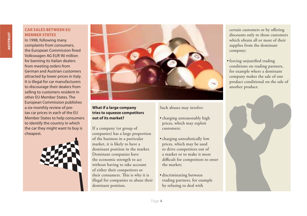# **CAR SALES BETWEEN EU MEMBER STATES**

In 1998, following many complaints from consumers, the European Commission fined Volkswagen AG EUR 90 million for banning its Italian dealers from meeting orders from German and Austrian customers attracted by lower prices in Italy. It is illegal for car manufacturers to discourage their dealers from selling to customers resident in other EU Member States. The European Commission publishes a six-monthly review of pretax car prices in each of the EU Member States to help consumers to identify the country in which the car they might want to buy is cheapest.





# **What if a large company tries to squeeze competitors out of its market?**

If a company (or group of companies) has a large proportion of the business in a particular market, it is likely to have a dominant position in the market. Dominant companies have the economic strength to act without having to take account of either their competitors or their consumers. This is why it is illegal for companies to abuse their dominant position.

Such abuses may involve:

- charging unreasonably high prices, which may exploit customers;
- charging unrealistically low prices, which may be used to drive competitors out of a market or to make it more difficult for competitors to enter the market;
- discriminating between trading partners, for example by refusing to deal with

certain customers or by offering discounts only to those customers which obtain all or most of their supplies from the dominant company;

• forcing unjustified trading conditions on trading partners, for example where a dominant company makes the sale of one product conditional on the sale of another product.

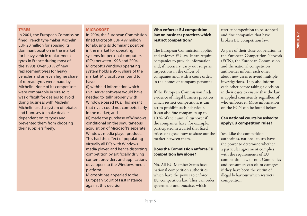#### **TYRES**

In 2001, the European Commission fined French tyre-maker Michelin EUR 20 million for abusing its dominant position in the market for heavy vehicle replacement tyres in France during most of the 1990s. Over 50 % of new replacement tyres for heavy vehicles and an even higher share of retread tyres were made by Michelin. None of its competitors were comparable in size so it was difficult for dealers to avoid doing business with Michelin. Michelin used a system of rebates and bonuses to make dealers dependent on its tyres and prevented them from choosing their suppliers freely.

# **MICROSOFT**

In 2004, the European Commission fined Microsoft FUR 497 million for abusing its dominant position in the market for operating systems for personal computers (PCs) between 1998 and 2004. Microsoft's Windows operating system holds a 95 % share of the market. Microsoft was found to have:

(i) withheld information which rival server software would have needed to 'talk' properly with Windows-based PCs. This meant that rivals could not compete fairly in the market; and (ii) made the purchase of Windows conditional on the simultaneous acquisition of Microsoft's separate Windows media player product. This had the effect of populating virtually all PCs with Windows media player, and hence distorting competition by artificially driving content providers and applications developers to the Windows media platform. Microsoft has appealed to the

European Court of First Instance against this decision.

# **Who enforces EU competition law on business practices which restrict competition?**

The European Commission applies and enforces EU law. It can require companies to provide information and, if necessary, carry out surprise inspections in the offices of companies and, with a court order, in the homes of company personnel.

If the European Commission finds evidence of illegal business practices which restrict competition, it can act to prohibit such behaviour. It can also fine companies up to 10 % of their annual turnover if the companies have, for example, participated in a cartel that fixed prices or agreed how to share out the market between them.

# **Does the Commission enforce EU competition law alone?**

No. All EU Member States have national competition authorities which have the power to enforce EU competition law. They can order agreements and practices which

restrict competition to be stopped and fine companies that have broken EU competition law.

As part of their close cooperation in the European Competition Network (ECN), the European Commission and the national competition authorities inform each other about new cases to avoid multiple investigations. They also inform each other before taking a decision in their cases to ensure that the law is applied consistently regardless of who enforces it. More information on the ECN can be found below.

# **Can national courts be asked to apply EU competition rules?**

Yes. Like the competition authorities, national courts have the power to determine whether a particular agreement complies with the requirements of EU competition law or not. Companies and consumers can claim damages if they have been the victim of illegal behaviour which restricts competition.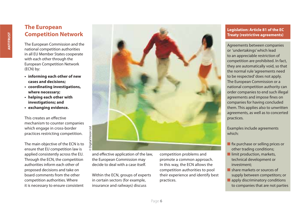# **The European Competition Network**

The European Commission and the national competition authorities in all EU Member States cooperate with each other through the European Competition Network (ECN) by:

- **informing each other of new cases and decisions;**
- **coordinating investigations, where necessary;**
- **helping each other with investigations; and**
- **exchanging evidence.**

This creates an effective mechanism to counter companies which engage in cross-border practices restricting competition.

The main objective of the ECN is to ensure that EU competition law is applied consistently across the EU. Through the ECN, the competition authorities inform each other of proposed decisions and take on board comments from the other competition authorities. Where it is necessary to ensure consistent



and effective application of the law, the European Commission may decide to deal with a case itself.

Within the ECN, groups of experts in certain sectors (for example, insurance and railways) discuss

competition problems and promote a common approach. In this way, the ECN allows the competition authorities to pool their experience and identify best practices.

# **Legislation: Article 81 of the EC Treaty (restrictive agreements)**

Agreements between companies or 'undertakings' which lead to an appreciable restriction of competition are prohibited. In fact, they are automatically void, so that the normal rule 'agreements need to be respected' does not apply. The European Commission or a national competition authority can order companies to end such illegal agreements and impose fines on companies for having concluded them. This applies also to unwritten agreements, as well as to concerted practices.

Examples include agreements which:

- $\blacksquare$  fix purchase or selling prices or other trading conditions;
- $\blacksquare$  limit production, markets, technical development or investment;
- share markets or sources of supply between competitors; or
- $\blacksquare$  apply discriminatory conditions to companies that are not parties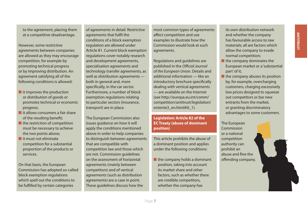to the agreement, placing them at a competitive disadvantage.

However, some restrictive agreements between companies are allowed as they may encourage competition, for example by promoting technical progress or by improving distribution. An agreement satisfying all of the following conditions is allowed:

- $\blacksquare$  it improves the production or distribution of goods or promotes technical or economic progress;
- $\blacksquare$  it allows consumers a fair share of the resulting benefit;
- $\blacksquare$  the restriction of competition must be necessary to achieve the two points above;
- $\blacksquare$  it must not eliminate competition for a substantial proportion of the products or services.

On that basis, the European Commission has adopted so-called block exemption regulations which spell out the conditions to be fulfilled by certain categories

of agreements in detail. Restrictive agreements that fulfil the conditions of a block exemption regulation are allowed under Article 81. Current block exemption regulations cover notably research and development agreements, specialisation agreements and technology transfer agreements, as well as distribution agreements both in general and, more specifically, in the car sector. Furthermore, a number of block exemption regulations relating to particular sectors (insurance, transport) are in place.

The European Commission also issues guidance on how it will apply the conditions mentioned above in order to help companies to distinguish between agreements that are compatible with competition law and those which are not. Commission guidelines on the assessment of horizontal agreements (mainly between competitors) and of vertical agreements (such as distribution agreements) are a case in point. These guidelines discuss how the

most common types of agreements affect competition and use examples to illustrate how the Commission would look at such agreements.

Regulations and guidelines are published in the Official Journal of the European Union. Details and additional information — like an introductory brochure specifically dealing with vertical agreements — are available on the Internet (see http://europa.eu.int/comm/ competition/antitrust/legislation/ entente3\_en.html#iii\_1).

# **Legislation: Article 82 of the EC Treaty (abuse of dominant position)**

This article prohibits the abuse of a dominant position and applies under the following conditions:

 $\blacksquare$  the company holds a dominant position, taking into account its market share and other factors, such as whether there are credible competitors, whether the company has

its own distribution network and whether the company has favourable access to raw materials; all are factors which allow the company to evade normal competition;

- I the company dominates the European market or a 'substantial part' of it;
- $\blacksquare$  the company abuses its position by, for example, overcharging customers, charging excessively low prices designed to squeeze out competitors or bar new entrants from the market, or granting discriminatory advantages to some customers.

The European Commission or a national competition authority can prohibit an abuse and fine the offending company.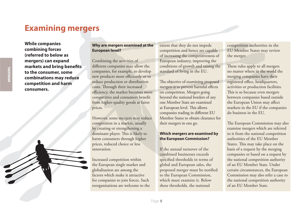# **Examining mergers**

**While companies combining forces (referred to below as mergers) can expand markets and bring benefits to the consumer, some combinations may reduce competition and harm consumers.**

# **Why are mergers examined at the European level?**

Combining the activities of different companies may allow the companies, for example, to develop new products more efficiently or to reduce production or distribution costs. Through their increased efficiency, the market becomes more competitive and consumers benefit from higher-quality goods at fairer prices.

However, some mergers may reduce competition in a market, usually by creating or strengthening a dominant player. This is likely to harm consumers through higher prices, reduced choice or less innovation.

Increased competition within the European single market and globalisation are among the factors which make it attractive for companies to join forces. Such reorganisations are welcome to the extent that they do not impede competition and hence are capable of increasing the competitiveness of European industry, improving the conditions of growth and raising the standard of living in the EU.

The objective of examining proposed mergers is to prevent harmful effects on competition. Mergers going beyond the national borders of any one Member State are examined at European level. This allows companies trading in different EU Member States to obtain clearance for their mergers in one go.

# **Which mergers are examined by the European Commission?**

If the annual turnover of the combined businesses exceeds specified thresholds in terms of global and European sales, the proposed merger must be notified to the European Commission, which must examine it. Below these thresholds, the national

competition authorities in the EU Member States may review the merger.

These rules apply to all mergers no matter where in the world the merging companies have their registered office, headquarters, activities or production facilities. This is so because even mergers between companies based outside the European Union may affect markets in the EU if the companies do business in the EU.

The European Commission may also examine mergers which are referred to it from the national competition authorities of the EU Member States. This may take place on the basis of a request by the merging companies or based on a request by the national competition authority of an EU Member State. Under certain circumstances, the European Commission may also refer a case to the national competition authority of an EU Member State.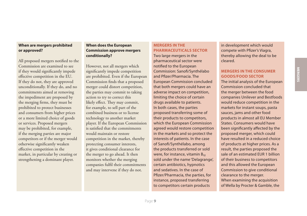## **When are mergers prohibited or approved?**

All proposed mergers notified to the Commission are examined to see if they would significantly impede effective competition in the EU. If they do not, they are approved unconditionally. If they do, and no commitments aimed at removing the impediment are proposed by the merging firms, they must be prohibited to protect businesses and consumers from higher prices or a more limited choice of goods or services. Proposed mergers may be prohibited, for example, if the merging parties are major competitors or if the merger would otherwise significantly weaken effective competition in the market, in particular by creating or strengthening a dominant player.

# **When does the European Commission approve mergers conditionally?**

However, not all mergers which significantly impede competition are prohibited. Even if the European Commission finds that a proposed merger could distort competition, the parties may commit to taking action to try to correct this likely effect. They may commit, for example, to sell part of the combined business or to license technology to another market player. If the European Commission is satisfied that the commitments would maintain or restore competition in the market, thereby protecting consumer interests, it gives conditional clearance for the merger to go ahead. It then monitors whether the merging companies fulfil their commitments and may intervene if they do not.

# **MERGERS IN THE PHARMACEUTICALS SECTOR**

Two large mergers in the pharmaceutical sector were notified to the European Commission: Sanofi/Synthélabo and Pfizer/Pharmacia. The European Commission concluded that both mergers could have an adverse impact on competition, limiting the choice of certain drugs available to patients. In both cases, the parties proposed transferring some of their products to competitors, which the European Commission agreed would restore competition in the markets and so protect the interests of patients. In the case of Sanofi/Synthélabo, among the products transferred or sold were, for instance, vitamin  $B_{12}$ sold under the name 'Delagrange', certain antibiotics, hypnotics and sedatives. In the case of Pfizer/Pharmacia, the parties, for instance, proposed transferring to competitors certain products

in development which would compete with Pfizer's Viagra, thereby allowing the deal to be cleared.

# **MERGERS IN THE CONSUMER GOODS/FOOD SECTOR**

The initial analysis of the European Commission concluded that the merger between the food companies Unilever and Bestfoods would reduce competition in the markets for instant soups, pasta sauces, jams and other food products in almost all EU Member States. Consumers would have been significantly affected by the proposed merger, which could have resulted in a reduced choice of products at higher prices. As a result, the parties proposed the sale of an estimated EUR 1 billion of their business to competitors and this allowed the European Commission to give conditional clearance to the merger. When examining the acquisition of Wella by Procter & Gamble, the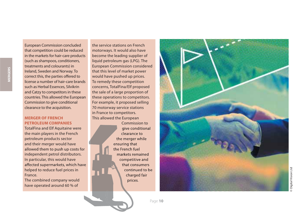that competition could be reduced in the markets for hair-care products (such as shampoos, conditioners, treatments and colourants) in Ireland, Sweden and Norway. To correct this, the parties offered to license a number of hair-care brands such as Herbal Essences, Silvikrin and Catzy to competitors in these countries. This allowed the European Commission to give conditional clearance to the acquisition.

European Commission concluded

# **MERGER OF FRENCH PETROLEUM COMPANIES**

TotalFina and Elf Aquitaine were the main players in the French petroleum products sector and their merger would have allowed them to push up costs for independent petrol distributors. In particular, this would have affected supermarkets, which have helped to reduce fuel prices in France.

The combined company would have operated around 60 % of

the service stations on French motorways. It would also have become the leading supplier of liquid petroleum gas (LPG). The European Commission considered that this level of market power would have pushed up prices. To remedy these competition concerns, TotalFina/Elf proposed the sale of a large proportion of these operations to competitors. For example, it proposed selling 70 motorway service stations in France to competitors. This allowed the European

Commission to give conditional clearance to the merger while ensuring that the French fuel markets remained competitive and that consumers continued to be charged fair prices.



Digital Vision Ltd © Digital Vision Ltd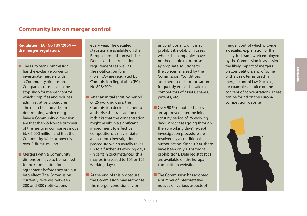# **Community law on merger control**

# **Regulation (EC) No 139/2004 the merger regulation:**

**The European Commission** has the exclusive power to investigate mergers with a Community dimension. Companies thus have a onestop shop for merger control, which simplifies and reduces administrative procedures. The main benchmarks for determining which mergers have a Community dimension are that the worldwide turnover of the merging companies is over EUR 5 000 million and that their Community-wide turnover is over EUR 250 million.

 $\blacksquare$  Mergers with a Community dimension have to be notified to the Commission for its agreement before they are put into effect. The Commission currently receives between 200 and 300 notifications

every year. The detailed statistics are available on the Europa competition website. Details of the notification requirements as well as the notification form (Form CO) are regulated by Commission Regulation (EC) No 808/2004.

- After an initial scrutiny period of 25 working days, the Commission decides either to authorise the transaction or, if it thinks that the concentration might result in a significant impediment to effective competition, it may initiate an in-depth investigation procedure which usually takes up to a further 90 working days (in certain circumstances, this may be increased to 105 or 125 working days).
- $\blacksquare$  At the end of this procedure, the Commission may authorise the merger conditionally or

unconditionally, or it may prohibit it, notably in cases where the companies have not been able to propose appropriate solutions to the concerns raised by the Commission. 'Conditions' attached to the authorisation frequently entail the sale to competitors of assets, shares, patents, etc.

- **Over 90 % of notified cases** are approved after the initial scrutiny period of 25 working days. Most cases going through the 90 working days' in-depth investigation procedure are resolved by a conditional authorisation. Since 1990, there have been only 18 outright prohibitions. Detailed statistics are available on the Europa competition website.
- $\blacksquare$  The Commission has adopted a number of interpretative notices on various aspects of

merger control which provide a detailed explanation of the analytical framework employed by the Commission in assessing the likely impact of mergers on competition, and of some of the basic terms used in merger control law (such as, for example, a notice on the concept of concentration). These can be found on the Europa competition website.

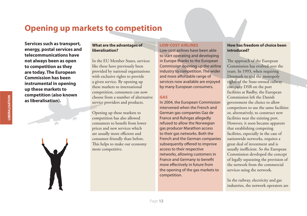# **Opening up markets to competition**

**Services such as transport, energy, postal services and telecommunications have not always been as open to competition as they are today. The European Commission has been instrumental in opening up these markets to competition (also known as liberalisation). ation)**

### **What are the advantages of liberalisation?**

In the EU Member States, services like these have previously been provided by national organisations with exclusive rights to provide a given service. By opening up these markets to international competition, consumers can now choose from a number of alternative service providers and products.

Opening up these markets to competition has also allowed consumers to benefit from lower prices and new services which are usually more efficient and consumer-friendly than before. This helps to make our economy more competitive.

### **LOW-COST AIRLINES**

Low-cost airlines have been able to start operating and developing in Europe thanks to the European Commission opening up the airline industry to competition. The wider and more affordable range of services now available are enjoyed by many European consumers.

# **GAS**

In 2004, the European Commission intervened when the French and German gas companies Gaz de France and Ruhrgas allegedly refused to allow the Norwegian gas producer Marathon access to their gas networks. Both the French and the German companies subsequently offered to improve access to their respective networks, allowing customers in France and Germany to benefit more effectively in future from the opening of the gas markets to competition.

# **How has freedom of choice been introduced?**

The approach of the European Commission has evolved over the years. In 1993, when requiring Denmark to end the monopoly rights of the State-owned railway company DSB on the port facilities at Rødby, the European Commission left the Danish government the choice to allow competitors to use the same facilities or, alternatively, to construct new facilities near the existing port. However, it soon became apparent that establishing competing facilities, especially in the case of nationwide networks, requires a great deal of investment and is usually inefficient. So the European Commission developed the concept of legally separating the provision of the network from the commercial services using the network.

In the railway, electricity and gas industries, the network operators are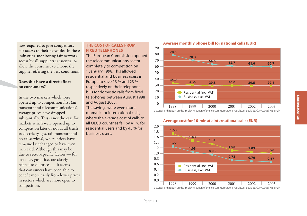now required to give competitors fair access to their networks. In these industries, monitoring fair network access by all suppliers is essential to allow the consumer to choose the supplier offering the best conditions.

# Does this have a direct effect **on consumers?**

In the two markets which were opened up to competition first (air transport and telecommunications), average prices have dropped substantially. This is not the case for markets which were opened up to competition later or not at all (such as electricity, gas, rail transport and postal services), where prices have remained unchanged or have even increased. Although this may be due to sector-specific factors - for instance, gas prices are closely related to oil prices — it seems that consumers have been able to benefit more easily from lower prices in sectors which are more open to

# **THE COST OF CALLS FROM FIXED TELEPHONES**

The European Commission opened the telecommunications sector completely to competition on 1 January 1998. This allowed residential and business users in Europe to save 13 % and 23 % respectively on their telephone bills for domestic calls from fixed telephones between August 1998 and August 2003.

The savings were even more dramatic for international calls, where the average cost of calls to all OECD countries fell by 41 % for residential users and by 45 % for business users.



#### **Average monthly phone bill for national calls (EUR)**



### **Average cost for 10-minute international calls (EUR)**

(Source: Ninth report on the implementation of the telecommunications regulatory package, COM(2003) 715 final).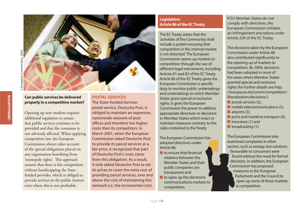

# **Can public services be delivered properly in a competitive market?**

Opening up new markets requires additional regulation to ensure that public services continue to be provided and that the consumer is not adversely affected. When applying competition law, the European Commission always takes account of the special obligations placed on any organisation benefiting from 'monopoly rights'. This approach ensures that there is fair competition without handicapping the Statefunded provider, which is obliged to provide services in the public interest even where this is not profitable.

**POSTAL SERVICES** The State-funded German postal service, Deutsche Post, is obliged to maintain an expensive, nationwide network of post offices and therefore has higher costs than its competitors. In March 2001, when the European Commission asked Deutsche Post to provide its parcel services at a fair price, it recognised that part of Deutsche Post's costs came from this obligation. As a result, it only asked Deutsche Post to set its prices to cover the extra cost of providing parcel services, over and above the cost of maintaining this network (i.e. the incremental cost).

# **Legislation: Article 86 of the EC Treaty**

The EC Treaty states that the 'activities of the Community shall include a system ensuring that competition in the internal market is not distorted'. The European Commission opens up markets to competition through the use of different legal instruments, including Articles 81 and 82 of the EC Treaty. Article 86 of the EC Treaty gives the European Commission a specific duty to monitor public undertakings and undertakings to which Member States grant special or exclusive rights. It gives the European Commission the power to address appropriate directives or decisions to Member States which enact or maintain measures contrary to the rules contained in the Treaty.

The European Commission has adopted directives under Article 86:

- $\blacksquare$  to ensure that financial relations between the Member States and their public companies are transparent; and
- $\blacksquare$  to open up the electronic communications markets to competition.

If EU Member States do not comply with directives, the European Commission initiates an infringement procedure under Article 226 of the EC Treaty.

The decisions taken by the European Commission under Article 86 also contributed significantly to the opening up of markets to competition. By 2004, decisions had been adopted in most of the areas where Member States granted special and exclusive rights (for further details see http: //europa.eu.int/comm/competition/ liberalization/decisions/):

- postal services  $(5)$ ,
- $\blacksquare$  mobile telecommunications (2),
- $\blacksquare$  airports (3),
- ports and maritime transport  $(4)$ ,
- $\blacksquare$  insurance (1) and
- $\blacksquare$  broadcasting (1).

The European Commission also examined complaints in other sectors, such as energy, but solutions favourable to consumers were found without the need for formal decisions. In addition, the European Commission has proposed measures to the European Parliament and the Council to open up some of these markets to competition.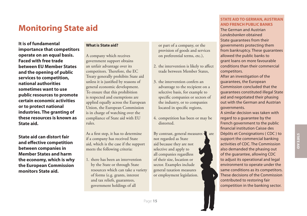# **Monitoring State aid**

**It is of fundamental importance that competitors operate on an equal basis. Faced with free trade between EU Member States and the opening of public services to competition, national authorities sometimes want to use public resources to promote certain economic activities or to protect national industries. The granting of these resources is known as State aid.**

**State aid can distort fair and eff ective competition between companies in Member States and harm the economy, which is why the European Commission monitors State aid.** 

# **What is State aid?**

A company which receives government support obtains an unfair advantage over its competitors. Therefore, the EC Treaty generally prohibits State aid unless it is justified by reasons of general economic development. To ensure that this prohibition is respected and exemptions are applied equally across the European Union, the European Commission is in charge of watching over the compliance of State aid with EU rules.

As a first step, it has to determine if a company has received State aid, which is the case if the support meets the following criteria:

1. there has been an intervention by the State or through State resources which can take a variety of forms (e.g. grants, interest and tax reliefs, guarantees, government holdings of all

or part of a company, or the provision of goods and services on preferential terms, etc.),

- 2. the intervention is likely to affect trade between Member States,
- 3. the intervention confers an advantage to the recipient on a selective basis, for example to specific companies or sectors of the industry, or to companies located in specific regions,
- 4. competition has been or may be distorted.

By contrast, general measures  $\mathbf{w}$  are not regarded as State aid because they are not selective and apply to all companies regardless of their size, location or sector. Examples include general taxation measures or employment legislation.

# **STATE AID TO GERMAN, AUSTRIAN AND FRENCH PUBLIC BANKS**

The German and Austrian Landesbanken obtained State guarantees from their governments protecting them from bankruptcy. These guarantees allowed the public banks to grant loans on more favourable conditions than their commercial competitors.

After an investigation of the guarantees, the European Commission concluded that the guarantees constituted illegal State aid and negotiated their phasing out with the German and Austrian governments.

A similar decision was taken with regard to a guarantee by the French government to the public financial institution Caisse des Dépôts et Consignations ( CDC ) to support the commercial banking activities of CDC. The Commission also demanded the phasing out of the guarantee, allowing CDC to adjust its operational and legal environment to operate under the same conditions as its competitors. These decisions of the Commission contributed to restoring fair competition in the banking sector.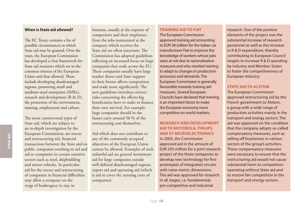# **When is State aid allowed?**

The EC Treaty contains a list of possible circumstances in which State aid may be granted. Over the years, the European Commission has developed a clear framework for State aid measures which are in the common interest of the European Union and thus allowed. These include developing disadvantaged regions, promoting small and medium-sized enterprises (SMEs), research and development (R & D), the protection of the environment, training, employment and culture.

The most controversial types of State aid, which are subject to an in-depth investigation by the European Commission, are rescue and restructuring aid, financial transactions between the State and its public companies resulting in aid and aid to companies in certain sensitive sectors such as steel, shipbuilding and motor vehicles. In particular, aid for the rescue and restructuring of companies in financial difficulties may allow a company on the verge of bankruptcy to stay in

business, usually at the expense of competitors and their employees. Even the jobs maintained at the company which receives the State aid are often uncertain. The Commission has adopted guidelines reflecting an increased focus on large companies that trade across the EU. These companies usually have large market shares and State support in their favour affects competition and trade more significantly. The new guidelines introduce stricter rules concerning the efforts big beneficiaries have to make to finance their own survival. For example, large companies should in the future carry around 50 % of the restructuring cost themselves.

Aid which does not contribute to any of the commonly accepted objectives of the European Union cannot be allowed. Examples of such unlawful aid are general investment aid for large companies outside well-defined disadvantaged regions, export aid and operating aid (which is aid to cover the running costs of companies).

#### **TRAINING AID TO FIAT**

The European Commission approved training aid amounting to EUR 38 million for the Italian car manufacturer Fiat to improve the knowledge of workers whose jobs were at risk due to rationalisation measures and who needed training to adapt to changes in production processes and demands. The European Commission is generally favourable towards training aid measures. Several European Councils have declared that training is an important factor to make the European economy more competitive on world markets.

# **RESEARCH AND DEVELOPMENT AID TO MOTOROLA, PHILIPS AND ST MICROELECTRONICS**

In 2003, the Commission approved aid in the amount of EUR 293 million for a joint research project of the three companies to develop new technology for first prototypes of integrated circuits with nano-metric dimensions. The aid was approved for research in all stages, i.e. fundamental, pre-competitive and industrial

research. One of the positive elements of the project was the substantial increase of research personnel as well as the increase in R & D expenditure, thereby contributing to European Council targets to increase R & D spending by industry and Member States to foster the competitiveness of European industry.

# **STATE AID TO ALSTOM**

The European Commission approved restructuring aid by the French government to Alstom, a group with a wide range of production activities mainly in the transport and energy sectors. The aid was approved on the condition that the company adopts so-called compensatory measures, such as selling off businesses in various sectors of the group's activities. These compensatory measures were necessary to ensure that the restructuring aid would not cause substantial harm to competitors operating without State aid and to restore fair competition in the transport and energy sectors.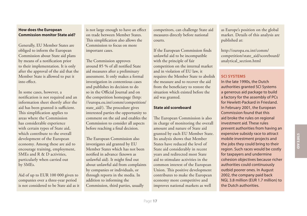# **How does the European Commission monitor State aid?**

Generally, EU Member States are obliged to inform the European Commission about State aid plans by means of a notification prior to their implementation. It is only after the approval of the aid that the Member State is allowed to put it into effect.

In some cases, however, a notification is not required and an information sheet shortly after the aid has been granted is sufficient. This simplification applies to areas where the Commission has considerable experience with certain types of State aid, which contribute to the overall development of the European economy. Among these are aid to encourage training, employment, SMEs and R & D activities, particularly when carried out by SMEs.

Aid of up to EUR 100 000 given to companies over a three-year period is not considered to be State aid as it

is not large enough to have an effect on trade between Member States. This simplification also allows the Commission to focus on more important cases.

The Commission approves around 85 % of all notified State aid measures after a preliminary assessment. It only makes a formal investigation in contentious cases and publishes its decision to do so in the Official Journal and on the competition homepage (http: //europa.eu.int/comm/competition/ state aid/). The procedure gives interested parties the opportunity to comment on the aid and enables the Commission to consider all aspects before reaching a final decision.

The European Commission also investigates aid granted by EU Member States which has not been notified in advance (known as unlawful aid). It might find out about unlawful aid from complaints by companies or individuals, or through reports in the media. In addition to informing the Commission, third parties, usually

competitors, can challenge State aid measures directly before national courts.

If the European Commission finds unlawful aid to be incompatible with the principle of fair competition on the internal market and in violation of EU law, it requires the Member State to abolish the measure and to recover the aid from the beneficiary to restore the situation which existed before the aid was granted.

### **State aid scoreboard**

The European Commission is also in charge of monitoring the overall amount and nature of State aid granted by each EU Member State. Its analysis shows that Member States have reduced the level of State aid considerably in recent years and redirected most State aid to stimulate activities in the common interest of the European Union. This positive development contributes to make the European economy more competitive and improves national markets as well

as Europe's position on the global market. Details of this analysis are published at:

http://europa.eu.int/comm/ competition/state\_aid/scoreboard/ analytical\_section.html

# **SCI SYSTEMS**

In the late 1990s, the Dutch authorities granted SCI Systems a generous aid package to build a factory for the assembly of PCs for Hewlett-Packard in Friesland. In February 2001, the European Commission found that this aid broke the rules on regional investment aid. These rules prevent authorities from having an expensive subsidy race to attract mobile investment projects and the jobs they could bring to their region. Such races would be costly for taxpayers and undermine cohesion objectives because richer authorities could continuously outbid poorer ones. In August 2002, the company paid back NGL 3.8 million (EUR 1.7 million) to the Dutch authorities.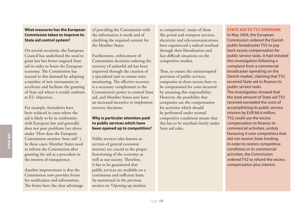# **What measures has the European Commission taken to improve its State aid control system?**

On several occasions, the European Council has underlined the need to grant less but better targeted State aid in order to boost the European economy. The Commission has reacted to this demand by adopting a number of new instruments to accelerate and facilitate the granting of State aid where it would conform to EU objectives.

For example, formalities have been reduced in cases where the aid is likely to be in conformity with European law and generally does not pose problems (see above under 'How does the European Commission monitor State aid?' ). In these cases, Member States need to inform the Commission after granting the aid as a procedure in the interest of transparency.

Another improvement is that the Commission now provides forms for notification and information. The forms have the clear advantage of providing the Commission with the information it needs and of clarifying the required content for the Member States.

Furthermore, enforcement of Commission decisions ordering the recovery of unlawful aid has been improved through the creation of a specialised unit to ensure strict monitoring. The effective recovery is a necessary complement to the Commission's power to control State aid, and Member States now have an increased incentive to implement recovery decisions.

# **Why is particular attention paid to public services which have been opened up to competition?**

Public services (also known as services of general economic interest) are crucial to the proper functioning of the economy as well as our society. Therefore, it has to be guaranteed that public services are available on a continuous and sufficient basis. As mentioned in the previous section on 'Opening up markets

to competition', many of them like postal and transport services, electricity and telecommunications have experienced a radical overhaul through their liberalisation and face difficult situations on the competitive market.

Thus, to ensure the uninterrupted provision of public services, companies in these sectors have to be compensated for costs incurred by assuming this responsibility. However, the possibility that companies use the compensation for activities which should be performed under normal competitive conditions means that this has to be watched closely under State aid rules.

#### **STATE AID TO TV2 DENMARK**

In May 2004, the European Commission ordered the Danish public broadcaster TV2 to pay back excess compensation for public service tasks. It had initiated this investigation following a complaint from a commercial broadcaster operating on the Danish market, claiming that TV2 received State aid to finance its public service tasks. The investigation showed that the total amount of State aid TV2 received exceeded the costs of accomplishing its public service mission by EUR 84.4 million. TV2 could use the excess compensation to finance its commercial activities, unduly favouring it over competitors that did not receive State funding. In order to restore competitive conditions in its commercial activities, the Commission ordered TV2 to refund the excess compensation plus interest.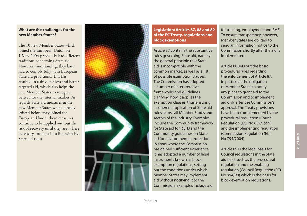# **What are the challenges for the new Member States?**

The 10 new Member States which joined the European Union on 1 May 2004 previously had different traditions concerning State aid. However, since joining, they have had to comply fully with European State aid provisions. This has resulted in a drive for less and better targeted aid, which also helps the new Member States to integrate better into the internal market. As regards State aid measures in the new Member States which already existed before they joined the European Union, these measures continue to be applied without the risk of recovery until they are, where necessary, brought into line with EU State aid rules.



**Legislation: Articles 87, 88 and 89 of the EC Treaty, regulations and block exemptions** 

Article 87 contains the substantive rules governing State aid, namely the general principle that State aid is incompatible with the common market, as well as a list of possible exemption clauses. The Commission has adopted a number of interpretative frameworks and guidelines clarifying how it applies the exemption clauses, thus ensuring a coherent application of State aid rules across all Member States and sectors of the industry. Examples include the Community framework for State aid for R & D and the Community guidelines on State aid for environmental protection. In areas where the Commission has gained sufficient experience, it has adopted a number of legal instruments known as block exemption regulations, setting out the conditions under which Member States may implement aid without notifying it to the Commission. Examples include aid

for training, employment and SMEs. To ensure transparency, however, Member States are obliged to send an information notice to the Commission shortly after the aid is implemented.

Article 88 sets out the basic procedural rules regarding the enforcement of Article 87, in particular the obligation of Member States to notify any plans to grant aid to the Commission and to implement aid only after the Commission's approval. The Treaty provisions have been complemented by the procedural regulation (Council Regulation (EC) No 659/1999) and the implementing regulation (Commission Regulation (EC) No 794/2004).

Article 89 is the legal basis for Council regulations in the State aid field, such as the procedural regulation and the enabling regulation (Council Regulation (EC) No 994/98) which is the basis for block exemption regulations.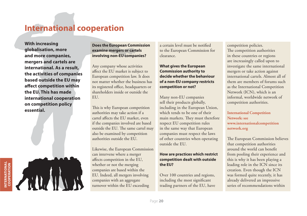# **International cooperation**

**With increasing globalisation, more and more companies, mergers and cartels are international. As a result, the activities of companies based outside the EU may aff ect competition within the EU. This has made international cooperation on competition policy essential.**

**Does the European Commission examine mergers or cartels involving non-EU companies?**

Any company whose activities affect the EU market is subject to European competition law. It does not matter whether the business has its registered office, headquarters or shareholders inside or outside the EU.

This is why European competition authorities may take action if a cartel affects the EU market, even if the companies involved are based outside the EU. The same cartel may also be examined by competition authorities outside the EU.

Likewise, the European Commission can intervene where a merger affects competition in the EU, whether or not the merging companies are based within the EU. Indeed, all mergers involving companies with an aggregate turnover within the EU exceeding

a certain level must be notified to the European Commission for clearance.

# **What gives the European Commission authority to decide whether the behaviour of a non-EU company restricts competition or not?**

Many non-EU companies sell their products globally, including in the European Union, which tends to be one of their main markets. They must therefore respect EU competition rules in the same way that European companies must respect the laws of other countries when operating outside the EU.

# **How are practices which restrict competition dealt with outside the EU?**

Over 100 countries and regions, including the most significant trading partners of the EU, have competition policies. The competition authorities in these countries or regions are increasingly called upon to investigate the same international mergers or take action against international cartels. Almost all of them are members of forums such as the International Competition Network (ICN), which is an informal, worldwide network of competition authorities.

**International Competition Network: see www.internationalcompetition network.org**

The European Commission believes that competition authorities around the world can benefit from pooling their experience and this is why it has been playing a leading role in the ICN since its creation. Even though the ICN was formed quite recently, it has already delivered an impressive series of recommendations within

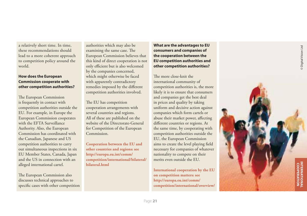a relatively short time. In time, these recommendations should lead to a more coherent approach to competition policy around the world.

# **How does the European Commission cooperate with other competition authorities?**

The European Commission is frequently in contact with competition authorities outside the EU. For example, in Europe the European Commission cooperates with the EFTA Surveillance Authority. Also, the European Commission has coordinated with the Canadian, Japanese and US competition authorities to carry out simultaneous inspections in six EU Member States, Canada, Japan and the US in connection with an alleged international cartel.

The European Commission also discusses technical approaches to specific cases with other competition

authorities which may also be examining the same case. The European Commission believes that this kind of direct cooperation is not only efficient but is also welcomed by the companies concerned, which might otherwise be faced with apparently contradictory remedies imposed by the different competition authorities involved.

The EU has competition cooperation arrangements with several countries and regions. All of these are published on the website of the Directorate-General for Competition of the European Commission.

**Cooperation between the EU and other countries and regions: see http://europa.eu.int/comm/ competition/international/bilateral/ bilateral.html**

# **What are the advantages to EU consumers and companies of the cooperation between the EU competition authorities and other competition authorities?**

The more close-knit the international community of competition authorities is, the more likely it is to ensure that consumers and companies get the best deal in prices and quality by taking uniform and decisive action against companies which form cartels or abuse their market power, affecting different countries or regions. At the same time, by cooperating with competition authorities outside the EU, the European Commission aims to create the level playing field necessary for companies of whatever nationality to compete on their merits even outside the EU.

**International cooperation by the EU on competition matters: see http://europa.eu.int/comm/ competition/international/overview/**

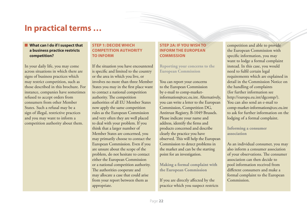# **In practical terms …**

# $\blacksquare$  What can I do if I suspect that **a business practice restricts competition?**

In your daily life, you may come across situations in which there are signs of business practices which may restrict competition, such as those described in this brochure. For instance, companies have sometimes refused to accept orders from consumers from other Member States. Such a refusal may be a sign of illegal, restrictive practices and you may want to inform a competition authority about them.

# **STEP 1: DECIDE WHICH COMPETITION AUTHORITY TO INFORM**

If the situation you have encountered is specific and limited to the country or the area in which you live, or involves no more than three Member States you may in the first place want to contact a national competition authority. The competition authorities of all EU Member States now apply the same competition rules as the European Commission and very often they are well placed to deal with your problem. If you think that a larger number of Member States are concerned, you may primarily choose to contact the European Commission. Even if you are unsure about the scope of the problem, do not hesitate to contact either the European Commission or a national competition authority. The authorities cooperate and may allocate a case that could arise from your report between them as appropriate.

# **STEP 2A: IF YOU WISH TO INFORM THE EUROPEAN COMMISSION**

**Reporting your concerns to the European Commission**

You can report your concerns to the European Commission by e-mail to comp-marketinformation@cec.eu.int. Alternatively, you can write a letter to the European Commission, Competition DG, Antitrust Registry, B-1049 Brussels. Please indicate your name and address, identify the firms and products concerned and describe clearly the practice you have observed. This will help the European Commission to detect problems in the market and can be the starting point for an investigation.

**Making a formal complaint with the European Commission**

If you are directly affected by the practice which you suspect restricts competition and able to provide the European Commission with specific information, you may want to lodge a formal complaint instead. In this case, you would need to fulfil certain legal requirements which are explained in detail in the Commission Notice on the handling of complaints (for further information see http://europa.eu.int/dgcomp/). You can also send an e-mail to comp-market-information@cec.eu.int to ask for further information on the lodging of a formal complaint.

**Informing a consumer association**

As an individual consumer, you may also inform a consumer association of your observations. The consumer association can then decide to pool information received from different consumers and make a formal complaint to the European Commission.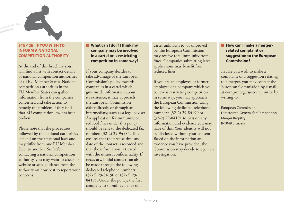

# **STEP 2B: IF YOU WISH TO INFORM A NATIONAL COMPETITION AUTHORITY**

At the end of this brochure you will find a list with contact details of national competition authorities of all EU Member States. National competition authorities in the EU Member States can gather information from the companies concerned and take action to remedy the problem if they find that EU competition law has been broken.

Please note that the procedures followed by the national authorities depend on their national laws and may differ from one EU Member State to another. So, before contacting a national competition authority, you may want to check its website or seek guidance from the authority on how best to report your concerns.

# Q **What can I do if I think my company may be involved in a cartel or is restricting competition in some way?**

If your company decides to take advantage of the European Commission's policy towards companies in a cartel which give inside information about its existence, it may approach the European Commission either directly or through an intermediary, such as a legal adviser. An application for immunity or reduced fines under this policy should be sent to the dedicated fax number: (32-2) 29-94585. This ensures that the precise time and date of the contact is recorded and that the information is treated with the utmost confidentiality. If necessary, initial contact can also be made through the following dedicated telephone numbers: (32-2) 29-84190 or (32-2) 29- 84191. Under the policy, the first company to submit evidence of a

cartel unknown to, or unproved by, the European Commission may receive total immunity from fines. Companies submitting later applications may benefit from reduced fines

If you are an employee or former employee of a company which you believe is restricting competition in some way, you may approach the European Commission using the following dedicated telephone numbers: (32-2) 29-84190 or (32-2) 29-84191 to pass on any information and evidence you may have of this. Your identity will not be disclosed without your consent. Based on the information and evidence you have provided, the Commission may decide to open an investigation.

# **E** How can I make a merger**related complaint or suggestion to the European Commission?**

In case you wish to make a complaint or a suggestion relating to a merger, you may contact the European Commission by e-mail at comp-mergers@cec.eu.int or by writing to:

European Commission Directorate-General for Competition Merger Registry B-1049 Brussels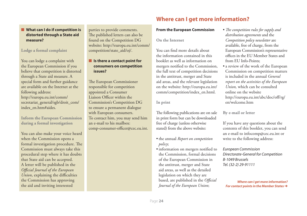# ■ What can I do if competition is **distorted through a State aid measure?**

**Lodge a formal complaint**

You can lodge a complaint with the European Commission if you believe that competition is distorted through a State aid measure. A special form and further guidance are available on the Internet at the following address: http://europa.eu.int/comm/ secretariat\_general/sgb/droit\_com/ index\_en.htm#aides.

**Inform the European Commission during a formal investigation**

You can also make your voice heard when the Commission opens a formal investigation procedure. The Commission must always take this procedural step where it has doubts that State aid can be accepted. A letter will be published in the *Offi cial Journal of the European Union*, explaining the difficulties the Commission has approving the aid and inviting interested

parties to provide comments. The published letters can also be found on the Competition DG website: http://europa.eu.int/comm/ competition/state\_aid/oj/.

# $\blacksquare$  Is there a contact point for **consumers on competition issues?**

The European Commissioner responsible for competition appointed a Consumer Liaison Officer within the Commission's Competition DG to ensure a permanent dialogue with European consumers. To contact him, you may send him an e-mail to his mailbox: comp-consumer-officer@cec.eu.int.

# **Where can I get more information?**

# **From the European Commission**

**On the Internet**

You can find more details about the information contained in this booklet as well as information on mergers notified to the Commission, the full text of competition decisions in the antitrust, merger and State aid areas, and the relevant legislation on the website: http://europa.eu.int/ comm/competition/index\_en.html.

**In print**

The following publications are on sale in print form but can be downloaded free of charge (unless otherwise stated) from the above website:

- the annual *Report on competition policy*;
- information on mergers notified to the Commission, formal decisions of the European Commission in the antitrust, merger and State aid areas, as well as the detailed legislation on which they are based, are published in the *Official Journal of the European Union*;
- *The competition rules for supply and distribution agreements* and the *Competition policy newsletter* are available, free of charge, from the European Commission's representative offices in the EU Member States and from EU Info-Points;
- a review of the work of the European Commission on competition matters is included in the annual *General report on the activities of the European Union,* which can be consulted online on the website http://europa.eu.int/abc/doc/off/rg/ en/welcome.htm

**By e-mail or letter**

If you have any questions about the contents of this booklet, you can send an e-mail to infocomp@cec.eu.int or write to the following address:

European Commission Directorate-General for Competition B-1049 Brussels Tel. (32-2) 29-91111

*Where can I get more information? For contact points in the Member States*  $\rightarrow$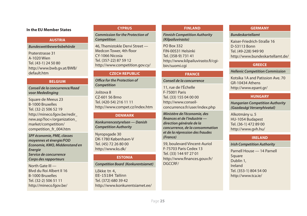# **In the EU Member States** *EU Member States* **FINLAND**

#### **AUSTRIA**

#### *Bundeswettbewerbsbehörde*

Praterstrasse 31 A-1020 Wien Tel. (43-1) 24 50 80 http://www.bwb.gv.at/BWB/ default.htm

### **BELGIUM**

*Conseil de la concurrence/Raad voor Mededinging*

Square de Meeus 23 B-1000 Bruxelles Tel. (32-2) 506 52 19 http://mineco.fgov.be/redir\_ new.asp?loc=/organization\_ market/competition/ competition\_fr\_004.htm

*SPF économie, PME, classes moyennes et énergie/FOD Economie, KMO, Middenstand en Energie Service de concurrence Corps des rapporteurs*

North Gate III — Blvd du Roi Albert II 16 B-1000 Bruxelles Tel. (32-2) 506 51 11 http://mineco.fgov.be/

#### **CYPRUS**

# *Commission for the Protection of Competition*

46, Themistokle Dervi Street — Medcon Tower, 4th floor CY-1066 Nicosia Tel. (357-22) 87 59 12 http://www.competition.gov.cy/

### **CZECH REPUBLIC**

*Offi ce for the Protection of Competition*

Joštova 8 CZ-601 56 Brno Tel. (420-54) 216 11 11 http://www.compet.cz/index.htm

#### **DENMARK**

*Konkurrencestyrelsen — Danish Competition Authority*

Nyropsgade 30 DK-1780 København-V Tel. (45) 72 26 80 00 http://www.ks.dk/

### **ESTONIA**

#### *Competition Board (Konkurentsiamet)*

Lõkke tn 4, EE-15184 Tallinn Tel. (372) 680 39 42 http://www.konkurentsiamet.ee/

*Finnish Competition Authority (Kilpailuvirasto)*

PO Box 332 FIN-00531 Helsinki Tel. (358-9) 731 41 http://www.kilpailuvirasto.fi/cqibin/suomi.cgi

#### **FRANCE**

### *Conseil de la concurrence*

11, rue de l'Échelle F-75001 Paris Tel. (33) 155 04 00 00 http://www.conseilconcurrence.fr/user/index.php

*Ministère de l'économie, des fi nances et de l'industrie direction générale de la concurrence, de la consommation et de la répression des fraudes (France)*

59, boulevard Vincent-Auriol F-75703 Paris Cedex 13 Tel. (33) 144 97 27 01 http://www.finances.gouv.fr/ DGCCRF/

### **GERMANY**

#### *Bundeskartellamt*

Kaiser-Friedrich-Straße 16 D-53113 Bonn Tel. (49-228) 949 90 http://www.bundeskartellamt.de/

# **GREECE**

#### *Hellenic Competition Commission*

Kotsika 1A and Patission Ave. 70 GR-10434 Athens http://www.epant.gr/

# **HUNGARY**

*Hungarian Competition Authority (Gazdasági Versenyhivatal)*

Alkotmány u. 5 HU-1054 Budapest Tel. (36-1) 472 89 00 http://www.gvh.hu/

### **IRELAND**

### *Irish Competition Authority*

Parnell House — 14 Parnell Square Dublin 1, Ireland Tel. (353-1) 804 54 00 http://www.tca.ie/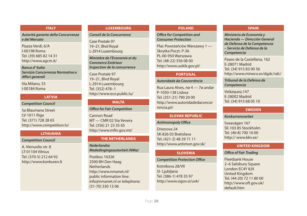#### **ITALY**

*Autorità garante della Concorrenza e del Mercato*

Piazza Verdi, 6/A I-00198 Roma Tel. (39) 685 82 14 31 http://www.agcm.it/

*Banca d' Italia Servizio Concorrenza Normativa e Aff ari generali*

Via Milano, 53 I-00184 Roma

# **LATVIA**

*Competition Council*

5a Blaumana Street LV-1011 Riga Tel. (371) 728 28 65 http://www.competition.lv/

### **LITHUANIA**

*Competition Council*

A. Vienuolio str. 8 LT-01104 Vilnius Tel. (370-5) 212 64 92 http://www.konkuren.lt

#### **LUXEMBOURG**

#### *Conseil de la Concurrence*

Case Postale 97 19–21, Blvd Royal L-2914 Luxembourg

*Ministère de l'Economie et du Commerce Extérieur Inspection de la concurrence*

# Case Postale 97 19–21, Blvd Royal L-2914 Luxembourg Tel. (352) 478–1 http://www.eco.public.lu/

# **MALTA**

#### **Office for Fair Competition**

Cannon Road MT — CMR 02 Sta Venera Tel. (356) 21 23 35 65 http://www.mfin.gov.mt/

### **THE NETHERLANDS**

*Nederlandse Mededingingsautoriteit (NMa)*

Postbus 16326 2500 BH Den Haag **Netherlands** http://www.nmanet.nl/ public information line: info@nmanet.nl or telephone: (31-70) 330 13 06

#### **POLAND**

# *Offi ce for Competition and Consumer Protection*

Plac Powstańców Warszawy 1 — Skrytka Poczt. P-36 PL-00-950 Warszawa Tel. (48-22) 556 08 00 http://www.uokik.gov.pl/

#### **PORTUGAL**

#### *Autoridade da Concorrência*

Rua Laura Alves, nø 4 — 7ø andar P-1050-138 Lisboa Tel. (351-21) 790 20 00 http://www.autoridadedaconcor rencia.pt/

#### **SLOVAK REPUBLIC**

#### **Antimonopoly Office**

Drienova 24 SK-826 03 Bratislava Tel. (421-2) 48 29 71 11 http://www.antimon.gov.sk/

#### **SLOVENIA**

#### **Competition Protection Office**

Kotnikova 28/VII SI- Ljubljana Tel. (386-1) 478 35 97 http://www.sigov.si/uvk/

#### **SPAIN**

*Ministerio de Economía y Hacienda — Dirección General de Defensa de la Competencia – Servicio de Defensa de la Competencia*

Paseo de la Castellana, 162 E-28071 Madrid Tel. (34) 915 83 00 56 http://www.mineco.es/dgdc/sdc/

*Tribunal de la Defensa de Competencia*

Velázquez,147 E-28002 Madrid Tel. (34) 915 68 05 10

# **SWEDEN**

#### *Konkurrensverket*

Sveavägen 167 SE-103 85 Stockholm Tel. (46-8) 700 16 00 http:// www.kkv.se/

### **UNITED KINGDOM**

#### **Office of Fair Trading**

Fleetbank House 2–6 Salisbury Square London EC4Y 8JX United Kingdom Tel. (44-20) 72 11 80 00 http://www.oft.gov.uk/ default.htm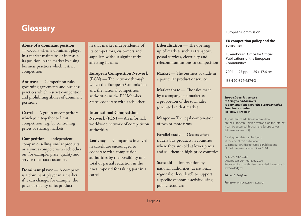# **Glossary** European Commission and the Commission of the Commission and the Commission of the Commission of the Commission

# **Abuse of a dominant position**

— Occurs when a dominant player in a market maintains or increases its position in the market by using business practices which restrict competition

**Antitrust** — Competition rules governing agreements and business practices which restrict competition and prohibiting abuses of dominant positions

**Cartel** — A group of competitors which join together to limit competition, e.g. by controlling prices or sharing markets

**Competition** — Independent companies selling similar products or services compete with each other on, for example, price, quality and service to attract customers

**Dominant player** — A company is a dominant player in a market if it can change, for example, the price or quality of its product

in that market independently of its competitors, customers and suppliers without significantly affecting its sales

**European Competition Network (ECN)** — The network through which the European Commission and the national competition authorities in the EU Member States cooperate with each other

**International Competition Network (ICN)** — An informal, worldwide network of competition authorities

**Leniency** — Companies involved in cartels are encouraged to cooperate with competition authorities by the possibility of a total or partial reduction in the fines imposed for taking part in a cartel

**Liberalisation** — The opening up of markets such as transport, postal services, electricity and telecommunications to competition

**Market** — The business or trade in a particular product or service

**Market share** — The sales made by a company in a market as a proportion of the total sales generated in that market

**Merger** — The legal combination of two or more firms

**Parallel trade — Occurs when** traders buy products in countries where they are sold at lower prices and sell them in high-price countries

**State aid** — Intervention by national authorities (at national, regional or local level) to support a specific economic activity using public resources

#### **EU competition policy and the consumer**

Luxembourg: Office for Official Publications of the European Communities

2004 — 27 pp. — 25 x 17.6 cm

ISBN 92-894-6574-3

*Europe Direct is a service to help you fi nd answers to your questions about the European Union* **Freephone number: 00 800 6 7 8 9 10 11**

A great deal of additional information on the European Union is available on the Internet. It can be accessed through the Europa server (http://europa.eu.int).

Cataloguing data can be found at the end of this publication. Luxembourg: Office for Official Publications of the European Communities, 2004

ISBN 92-894-6574-3 © European Communities, 2004 Reproduction is authorised provided the source is acknowledged.

Printed in Belgium

PRINTED ON WHITE CHLORINE-FREE PAPER